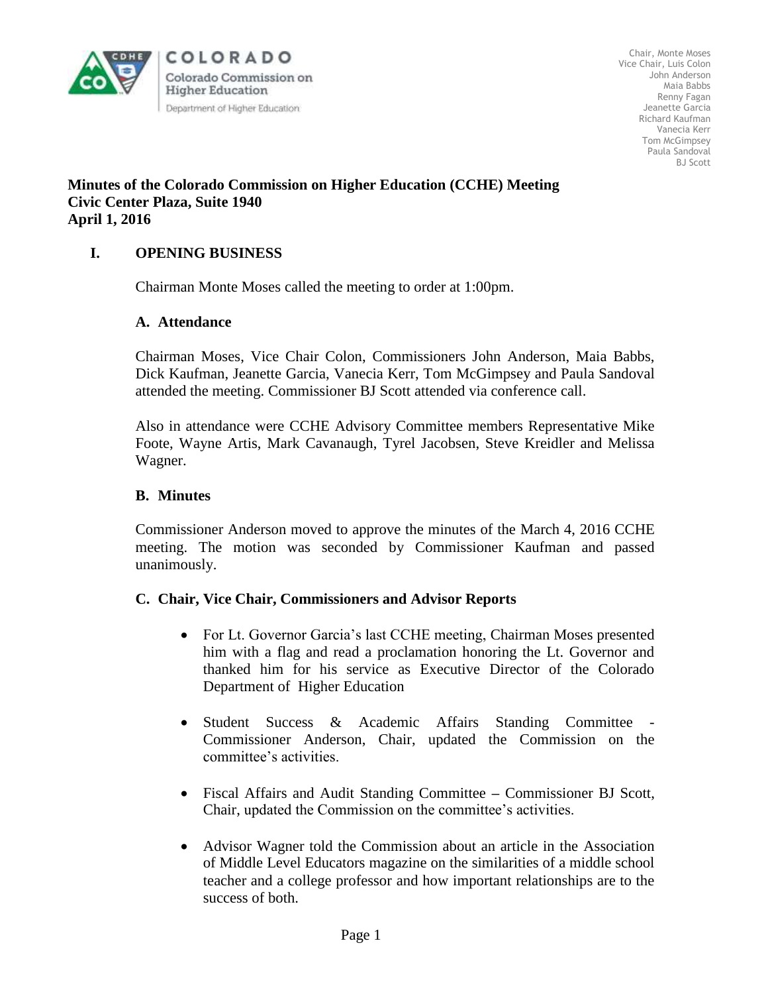

Chair, Monte Moses Vice Chair, Luis Colon John Anderson Maia Babbs Renny Fagan Jeanette Garcia Richard Kaufman Vanecia Kerr Tom McGimpsey Paula Sandoval BJ Scott

## **Minutes of the Colorado Commission on Higher Education (CCHE) Meeting Civic Center Plaza, Suite 1940 April 1, 2016**

## **I. OPENING BUSINESS**

Chairman Monte Moses called the meeting to order at 1:00pm.

### **A. Attendance**

Chairman Moses, Vice Chair Colon, Commissioners John Anderson, Maia Babbs, Dick Kaufman, Jeanette Garcia, Vanecia Kerr, Tom McGimpsey and Paula Sandoval attended the meeting. Commissioner BJ Scott attended via conference call.

Also in attendance were CCHE Advisory Committee members Representative Mike Foote, Wayne Artis, Mark Cavanaugh, Tyrel Jacobsen, Steve Kreidler and Melissa Wagner.

### **B. Minutes**

Commissioner Anderson moved to approve the minutes of the March 4, 2016 CCHE meeting. The motion was seconded by Commissioner Kaufman and passed unanimously.

### **C. Chair, Vice Chair, Commissioners and Advisor Reports**

- For Lt. Governor Garcia's last CCHE meeting, Chairman Moses presented him with a flag and read a proclamation honoring the Lt. Governor and thanked him for his service as Executive Director of the Colorado Department of Higher Education
- Student Success & Academic Affairs Standing Committee Commissioner Anderson, Chair, updated the Commission on the committee's activities.
- Fiscal Affairs and Audit Standing Committee **–** Commissioner BJ Scott, Chair, updated the Commission on the committee's activities.
- Advisor Wagner told the Commission about an article in the Association of Middle Level Educators magazine on the similarities of a middle school teacher and a college professor and how important relationships are to the success of both.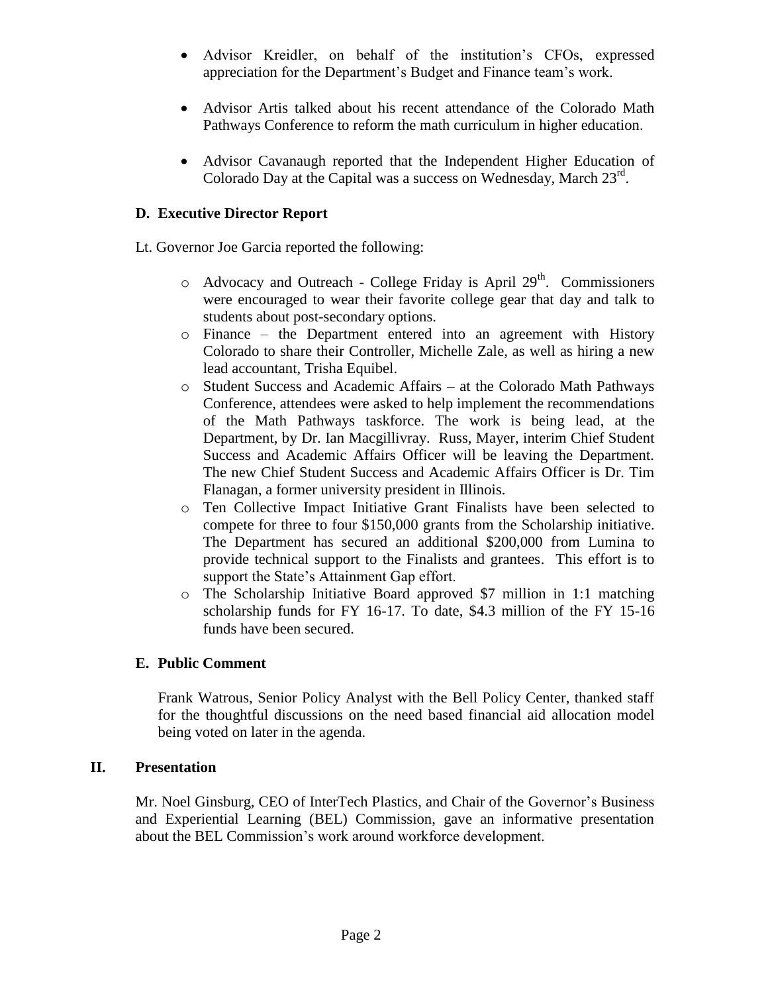- Advisor Kreidler, on behalf of the institution's CFOs, expressed appreciation for the Department's Budget and Finance team's work.
- Advisor Artis talked about his recent attendance of the Colorado Math Pathways Conference to reform the math curriculum in higher education.
- Advisor Cavanaugh reported that the Independent Higher Education of Colorado Day at the Capital was a success on Wednesday, March  $23<sup>rd</sup>$ .

# **D. Executive Director Report**

Lt. Governor Joe Garcia reported the following:

- $\circ$  Advocacy and Outreach College Friday is April 29<sup>th</sup>. Commissioners were encouraged to wear their favorite college gear that day and talk to students about post-secondary options.
- o Finance the Department entered into an agreement with History Colorado to share their Controller, Michelle Zale, as well as hiring a new lead accountant, Trisha Equibel.
- o Student Success and Academic Affairs at the Colorado Math Pathways Conference, attendees were asked to help implement the recommendations of the Math Pathways taskforce. The work is being lead, at the Department, by Dr. Ian Macgillivray. Russ, Mayer, interim Chief Student Success and Academic Affairs Officer will be leaving the Department. The new Chief Student Success and Academic Affairs Officer is Dr. Tim Flanagan, a former university president in Illinois.
- o Ten Collective Impact Initiative Grant Finalists have been selected to compete for three to four \$150,000 grants from the Scholarship initiative. The Department has secured an additional \$200,000 from Lumina to provide technical support to the Finalists and grantees. This effort is to support the State's Attainment Gap effort.
- o The Scholarship Initiative Board approved \$7 million in 1:1 matching scholarship funds for FY 16-17. To date, \$4.3 million of the FY 15-16 funds have been secured.

# **E. Public Comment**

Frank Watrous, Senior Policy Analyst with the Bell Policy Center, thanked staff for the thoughtful discussions on the need based financial aid allocation model being voted on later in the agenda.

## **II. Presentation**

Mr. Noel Ginsburg, CEO of InterTech Plastics, and Chair of the Governor's Business and Experiential Learning (BEL) Commission, gave an informative presentation about the BEL Commission's work around workforce development.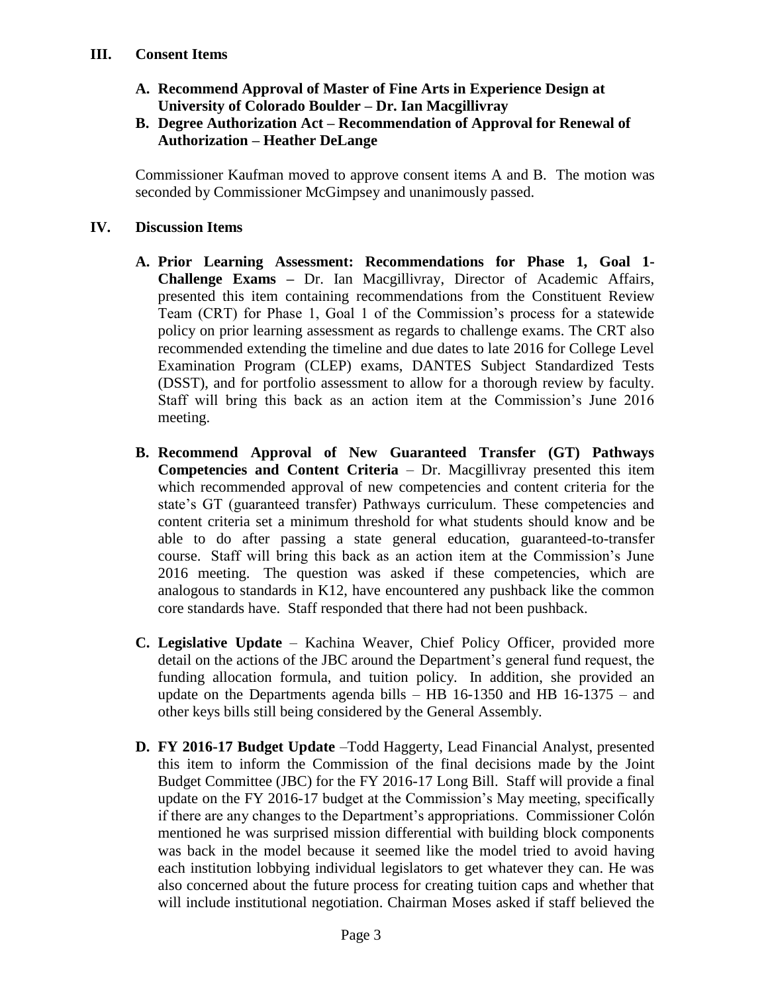- **A. Recommend Approval of Master of Fine Arts in Experience Design at University of Colorado Boulder – Dr. Ian Macgillivray**
- **B. Degree Authorization Act – Recommendation of Approval for Renewal of Authorization – Heather DeLange**

 Commissioner Kaufman moved to approve consent items A and B. The motion was seconded by Commissioner McGimpsey and unanimously passed.

# **IV. Discussion Items**

- **A. Prior Learning Assessment: Recommendations for Phase 1, Goal 1- Challenge Exams –** Dr. Ian Macgillivray, Director of Academic Affairs, presented this item containing recommendations from the Constituent Review Team (CRT) for Phase 1, Goal 1 of the Commission's process for a statewide policy on prior learning assessment as regards to challenge exams. The CRT also recommended extending the timeline and due dates to late 2016 for College Level Examination Program (CLEP) exams, DANTES Subject Standardized Tests (DSST), and for portfolio assessment to allow for a thorough review by faculty. Staff will bring this back as an action item at the Commission's June 2016 meeting.
- **B. Recommend Approval of New Guaranteed Transfer (GT) Pathways Competencies and Content Criteria** – Dr. Macgillivray presented this item which recommended approval of new competencies and content criteria for the state's GT (guaranteed transfer) Pathways curriculum. These competencies and content criteria set a minimum threshold for what students should know and be able to do after passing a state general education, guaranteed-to-transfer course. Staff will bring this back as an action item at the Commission's June 2016 meeting. The question was asked if these competencies, which are analogous to standards in K12, have encountered any pushback like the common core standards have. Staff responded that there had not been pushback.
- **C. Legislative Update** Kachina Weaver, Chief Policy Officer, provided more detail on the actions of the JBC around the Department's general fund request, the funding allocation formula, and tuition policy. In addition, she provided an update on the Departments agenda bills – HB 16-1350 and HB 16-1375 – and other keys bills still being considered by the General Assembly.
- **D. FY 2016-17 Budget Update** –Todd Haggerty, Lead Financial Analyst, presented this item to inform the Commission of the final decisions made by the Joint Budget Committee (JBC) for the FY 2016-17 Long Bill. Staff will provide a final update on the FY 2016-17 budget at the Commission's May meeting, specifically if there are any changes to the Department's appropriations. Commissioner Colón mentioned he was surprised mission differential with building block components was back in the model because it seemed like the model tried to avoid having each institution lobbying individual legislators to get whatever they can. He was also concerned about the future process for creating tuition caps and whether that will include institutional negotiation. Chairman Moses asked if staff believed the